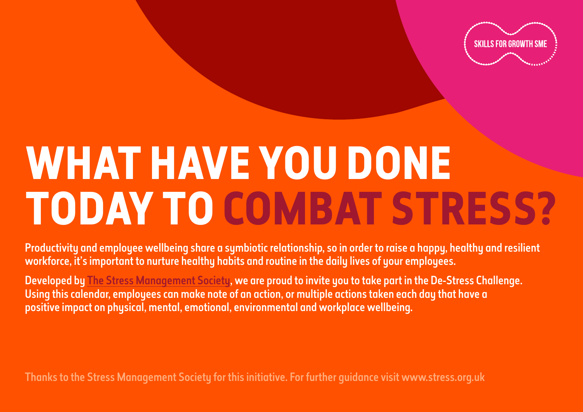

## **WHAT HAVE YOU DONE TODAY TO COMBAT STRESS?**

Productivity and employee wellbeing share a symbiotic relationship, so in order to raise a happy, healthy and resilient workforce, it's important to nurture healthy habits and routine in the daily lives of your employees.

Developed by [The Stress Management Society](https://www.stress.org.uk/), we are proud to invite you to take part in the De-Stress Challenge. Using this calendar, employees can make note of an action, or multiple actions taken each day that have a positive impact on physical, mental, emotional, environmental and workplace wellbeing.

Thanks to the Stress Management Society for this initiative. For further guidance visit www.stress.org.uk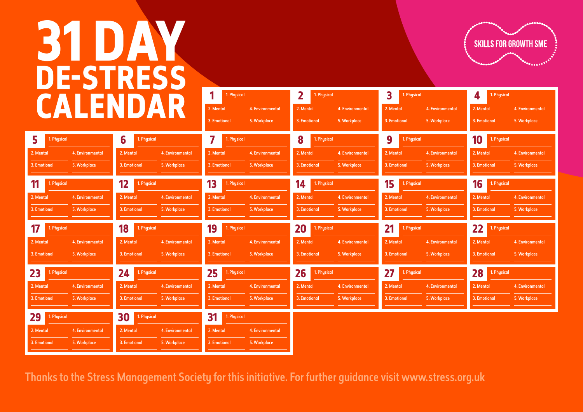## **31 DAY DE-STRESS**



| CALENDAR                        |             |                  |                   | 1. Physical      |                   | 2<br>1. Physical |                   | 3<br>1. Physical |                   | 1. Physical<br>4 |                   |                  |
|---------------------------------|-------------|------------------|-------------------|------------------|-------------------|------------------|-------------------|------------------|-------------------|------------------|-------------------|------------------|
|                                 |             |                  |                   |                  | 2. Mental         | 4. Environmental | 2. Mental         | 4. Environmental | 2. Mental         | 4. Environmental | 2. Mental         | 4. Environmental |
|                                 |             |                  |                   |                  | 3. Emotional      | 5. Workplace     | 3. Emotional      | 5. Workplace     | 3. Emotional      | 5. Workplace     | 3. Emotional      | 5. Workplace     |
| 5                               | 1. Physical |                  | 6<br>1. Physical  |                  | 7<br>1. Physical  |                  | 8<br>1. Physical  |                  | 9<br>1. Physical  |                  | 10<br>1. Physical |                  |
| 2. Mental                       |             | 4. Environmental | 2. Mental         | 4. Environmental | 2. Mental         | 4. Environmental | 2. Mental         | 4. Environmental | 2. Mental         | 4. Environmental | 2. Mental         | 4. Environmental |
| 3. Emotional                    |             | 5. Workplace     | 3. Emotional      | 5. Workplace     | 3. Emotional      | 5. Workplace     | 3. Emotional      | 5. Workplace     | 3. Emotional      | 5. Workplace     | 3. Emotional      | 5. Workplace     |
| 11                              | 1. Physical |                  | 12<br>1. Physical |                  | 13<br>1. Physical |                  | 14<br>1. Physical |                  | 15<br>1. Physical |                  | 16<br>1. Physical |                  |
| 2. Mental                       |             | 4. Environmental | 2. Mental         | 4. Environmental | 2. Mental         | 4. Environmental | 2. Mental         | 4. Environmental | 2. Mental         | 4. Environmental | 2. Mental         | 4. Environmental |
| 3. Emotional                    |             | 5. Workplace     | 3. Emotional      | 5. Workplace     | 3. Emotional      | 5. Workplace     | 3. Emotional      | 5. Workplace     | 3. Emotional      | 5. Workplace     | 3. Emotional      | 5. Workplace     |
|                                 | 1. Physical |                  | 18<br>1. Physical |                  | 19<br>1. Physical |                  | 20<br>1. Physical |                  | 21<br>1. Physical |                  | 22<br>1. Physical |                  |
| 17                              |             |                  |                   |                  |                   |                  |                   |                  |                   |                  |                   |                  |
| 2. Mental                       |             | 4. Environmental | 2. Mental         | 4. Environmental | 2. Mental         | 4. Environmental | 2. Mental         | 4. Environmental | 2. Mental         | 4. Environmental | 2. Mental         | 4. Environmental |
|                                 |             | 5. Workplace     | 3. Emotional      | 5. Workplace     | 3. Emotional      | 5. Workplace     | 3. Emotional      | 5. Workplace     | 3. Emotional      | 5. Workplace     | 3. Emotional      | 5. Workplace     |
|                                 | 1. Physical |                  | 24<br>1. Physical |                  | 25<br>1. Physical |                  | 26<br>1. Physical |                  | 27<br>1. Physical |                  | 28<br>1. Physical |                  |
| 3. Emotional<br>23<br>2. Mental |             | 4. Environmental | 2. Mental         | 4. Environmental | 2. Mental         | 4. Environmental | 2. Mental         | 4. Environmental | 2. Mental         | 4. Environmental | 2. Mental         | 4. Environmental |
| 3. Emotional                    |             | 5. Workplace     | 3. Emotional      | 5. Workplace     | 3. Emotional      | 5. Workplace     | 3. Emotional      | 5. Workplace     | 3. Emotional      | 5. Workplace     | 3. Emotional      | 5. Workplace     |
| 29                              | 1. Physical |                  | 30<br>1. Physical |                  | 31<br>1. Physical |                  |                   |                  |                   |                  |                   |                  |
| 2. Mental                       |             | 4. Environmental | 2. Mental         | 4. Environmental | 2. Mental         | 4. Environmental |                   |                  |                   |                  |                   |                  |

Thanks to the Stress Management Society for this initiative. For further guidance visit www.stress.org.uk